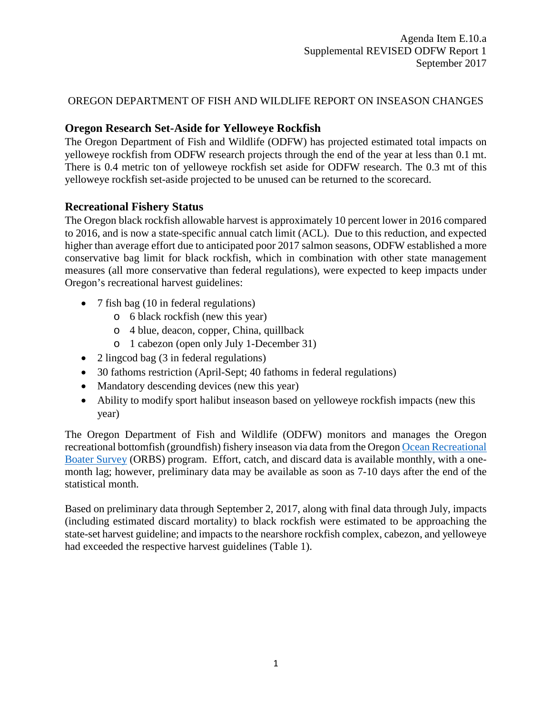## OREGON DEPARTMENT OF FISH AND WILDLIFE REPORT ON INSEASON CHANGES

## **Oregon Research Set-Aside for Yelloweye Rockfish**

The Oregon Department of Fish and Wildlife (ODFW) has projected estimated total impacts on yelloweye rockfish from ODFW research projects through the end of the year at less than 0.1 mt. There is 0.4 metric ton of yelloweye rockfish set aside for ODFW research. The 0.3 mt of this yelloweye rockfish set-aside projected to be unused can be returned to the scorecard.

## **Recreational Fishery Status**

The Oregon black rockfish allowable harvest is approximately 10 percent lower in 2016 compared to 2016, and is now a state-specific annual catch limit (ACL). Due to this reduction, and expected higher than average effort due to anticipated poor 2017 salmon seasons, ODFW established a more conservative bag limit for black rockfish, which in combination with other state management measures (all more conservative than federal regulations), were expected to keep impacts under Oregon's recreational harvest guidelines:

- 7 fish bag (10 in federal regulations)
	- o 6 black rockfish (new this year)
	- o 4 blue, deacon, copper, China, quillback
	- o 1 cabezon (open only July 1-December 31)
- 2 lingcod bag (3 in federal regulations)
- 30 fathoms restriction (April-Sept; 40 fathoms in federal regulations)
- Mandatory descending devices (new this year)
- Ability to modify sport halibut inseason based on yelloweye rockfish impacts (new this year)

The Oregon Department of Fish and Wildlife (ODFW) monitors and manages the Oregon recreational bottomfish (groundfish) fishery inseason via data from the Orego[n Ocean Recreational](http://www.dfw.state.or.us/MRP/salmon/docs/ORBS_Design.pdf)  [Boater Survey](http://www.dfw.state.or.us/MRP/salmon/docs/ORBS_Design.pdf) (ORBS) program. Effort, catch, and discard data is available monthly, with a onemonth lag; however, preliminary data may be available as soon as 7-10 days after the end of the statistical month.

Based on preliminary data through September 2, 2017, along with final data through July, impacts (including estimated discard mortality) to black rockfish were estimated to be approaching the state-set harvest guideline; and impacts to the nearshore rockfish complex, cabezon, and yelloweye had exceeded the respective harvest guidelines [\(Table 1\)](#page-1-0).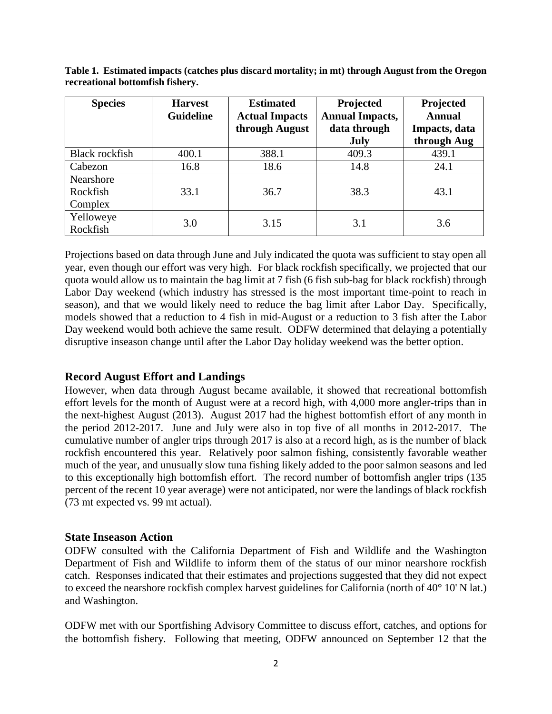| <b>Species</b> | <b>Harvest</b><br><b>Guideline</b> | <b>Estimated</b><br><b>Actual Impacts</b> | Projected<br><b>Annual Impacts,</b> | Projected<br><b>Annual</b> |  |
|----------------|------------------------------------|-------------------------------------------|-------------------------------------|----------------------------|--|
|                |                                    | through August                            | data through                        | Impacts, data              |  |
|                |                                    |                                           | <b>July</b>                         | through Aug                |  |
| Black rockfish | 400.1                              | 388.1                                     | 409.3                               | 439.1                      |  |
| Cabezon        | 16.8                               | 18.6                                      | 14.8                                | 24.1                       |  |
| Nearshore      |                                    |                                           |                                     |                            |  |
| Rockfish       | 33.1                               | 36.7                                      | 38.3                                | 43.1                       |  |
| Complex        |                                    |                                           |                                     |                            |  |
| Yelloweye      | 3.0                                | 3.15                                      | 3.1                                 | 3.6                        |  |
| Rockfish       |                                    |                                           |                                     |                            |  |

<span id="page-1-0"></span>**Table 1. Estimated impacts (catches plus discard mortality; in mt) through August from the Oregon recreational bottomfish fishery.**

Projections based on data through June and July indicated the quota was sufficient to stay open all year, even though our effort was very high. For black rockfish specifically, we projected that our quota would allow us to maintain the bag limit at 7 fish (6 fish sub-bag for black rockfish) through Labor Day weekend (which industry has stressed is the most important time-point to reach in season), and that we would likely need to reduce the bag limit after Labor Day. Specifically, models showed that a reduction to 4 fish in mid-August or a reduction to 3 fish after the Labor Day weekend would both achieve the same result. ODFW determined that delaying a potentially disruptive inseason change until after the Labor Day holiday weekend was the better option.

### **Record August Effort and Landings**

However, when data through August became available, it showed that recreational bottomfish effort levels for the month of August were at a record high, with 4,000 more angler-trips than in the next-highest August (2013). August 2017 had the highest bottomfish effort of any month in the period 2012-2017. June and July were also in top five of all months in 2012-2017. The cumulative number of angler trips through 2017 is also at a record high, as is the number of black rockfish encountered this year. Relatively poor salmon fishing, consistently favorable weather much of the year, and unusually slow tuna fishing likely added to the poor salmon seasons and led to this exceptionally high bottomfish effort. The record number of bottomfish angler trips (135 percent of the recent 10 year average) were not anticipated, nor were the landings of black rockfish (73 mt expected vs. 99 mt actual).

#### **State Inseason Action**

ODFW consulted with the California Department of Fish and Wildlife and the Washington Department of Fish and Wildlife to inform them of the status of our minor nearshore rockfish catch. Responses indicated that their estimates and projections suggested that they did not expect to exceed the nearshore rockfish complex harvest guidelines for California (north of 40° 10' N lat.) and Washington.

ODFW met with our Sportfishing Advisory Committee to discuss effort, catches, and options for the bottomfish fishery. Following that meeting, ODFW announced on September 12 that the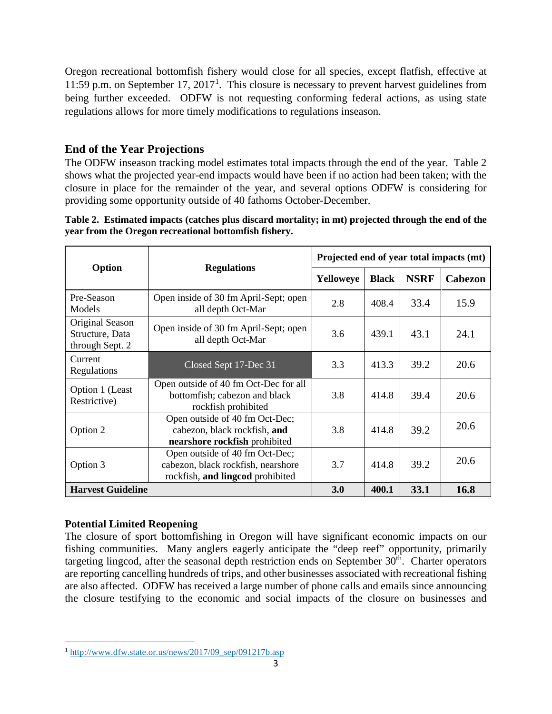Oregon recreational bottomfish fishery would close for all species, except flatfish, effective at [1](#page-2-1)1:59 p.m. on September 17, 2017<sup>1</sup>. This closure is necessary to prevent harvest guidelines from being further exceeded. ODFW is not requesting conforming federal actions, as using state regulations allows for more timely modifications to regulations inseason.

# **End of the Year Projections**

The ODFW inseason tracking model estimates total impacts through the end of the year. [Table 2](#page-2-0) shows what the projected year-end impacts would have been if no action had been taken; with the closure in place for the remainder of the year, and several options ODFW is considering for providing some opportunity outside of 40 fathoms October-December.

<span id="page-2-0"></span>

| Table 2. Estimated impacts (catches plus discard mortality; in mt) projected through the end of the |
|-----------------------------------------------------------------------------------------------------|
| year from the Oregon recreational bottomfish fishery.                                               |

|                                                       |                                                                                                          | Projected end of year total impacts (mt) |              |             |                |
|-------------------------------------------------------|----------------------------------------------------------------------------------------------------------|------------------------------------------|--------------|-------------|----------------|
| Option                                                | <b>Regulations</b>                                                                                       | Yelloweye                                | <b>Black</b> | <b>NSRF</b> | <b>Cabezon</b> |
| Pre-Season<br>Models                                  | Open inside of 30 fm April-Sept; open<br>all depth Oct-Mar                                               | 2.8                                      | 408.4        | 33.4        | 15.9           |
| Original Season<br>Structure, Data<br>through Sept. 2 | Open inside of 30 fm April-Sept; open<br>all depth Oct-Mar                                               | 3.6                                      | 439.1        | 43.1        | 24.1           |
| Current<br>Regulations                                | Closed Sept 17-Dec 31                                                                                    | 3.3                                      | 413.3        | 39.2        | 20.6           |
| Option 1 (Least<br>Restrictive)                       | Open outside of 40 fm Oct-Dec for all<br>bottomfish; cabezon and black<br>rockfish prohibited            | 3.8                                      | 414.8        | 39.4        | 20.6           |
| Option 2                                              | Open outside of 40 fm Oct-Dec;<br>cabezon, black rockfish, and<br>nearshore rockfish prohibited          |                                          | 414.8        | 39.2        | 20.6           |
| Option 3                                              | Open outside of 40 fm Oct-Dec;<br>cabezon, black rockfish, nearshore<br>rockfish, and lingcod prohibited |                                          | 414.8        | 39.2        | 20.6           |
| <b>Harvest Guideline</b>                              |                                                                                                          | 3.0                                      | 400.1        | 33.1        | 16.8           |

# **Potential Limited Reopening**

l

The closure of sport bottomfishing in Oregon will have significant economic impacts on our fishing communities. Many anglers eagerly anticipate the "deep reef" opportunity, primarily targeting lingcod, after the seasonal depth restriction ends on September  $30<sup>th</sup>$ . Charter operators are reporting cancelling hundreds of trips, and other businesses associated with recreational fishing are also affected. ODFW has received a large number of phone calls and emails since announcing the closure testifying to the economic and social impacts of the closure on businesses and

<span id="page-2-1"></span> $1 \text{ http://www.dfw.state.or.us/news/2017/09~sep/091217b.asp}$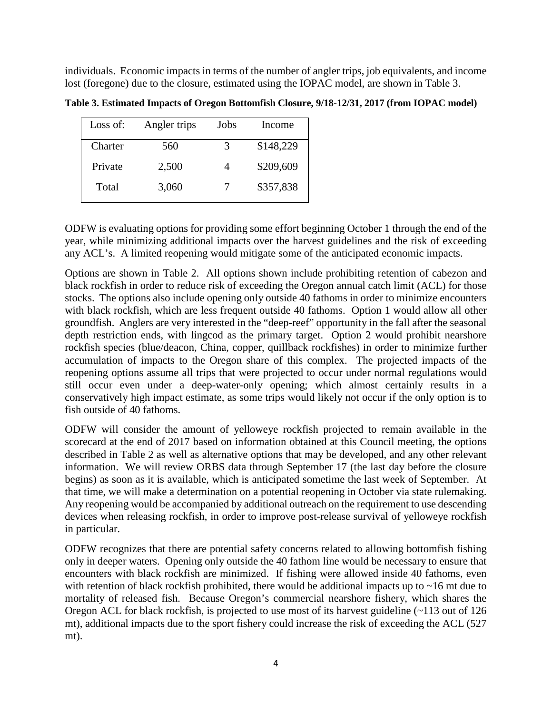individuals. Economic impacts in terms of the number of angler trips, job equivalents, and income lost (foregone) due to the closure, estimated using the IOPAC model, are shown in Table 3.

Loss of: Angler trips Jobs Income Charter 560 3 \$148,229 Private 2,500 4 \$209,609 Total 3,060 7 \$357,838

**Table 3. Estimated Impacts of Oregon Bottomfish Closure, 9/18-12/31, 2017 (from IOPAC model)**

ODFW is evaluating options for providing some effort beginning October 1 through the end of the year, while minimizing additional impacts over the harvest guidelines and the risk of exceeding any ACL's. A limited reopening would mitigate some of the anticipated economic impacts.

Options are shown in Table 2. All options shown include prohibiting retention of cabezon and black rockfish in order to reduce risk of exceeding the Oregon annual catch limit (ACL) for those stocks. The options also include opening only outside 40 fathoms in order to minimize encounters with black rockfish, which are less frequent outside 40 fathoms. Option 1 would allow all other groundfish. Anglers are very interested in the "deep-reef" opportunity in the fall after the seasonal depth restriction ends, with lingcod as the primary target. Option 2 would prohibit nearshore rockfish species (blue/deacon, China, copper, quillback rockfishes) in order to minimize further accumulation of impacts to the Oregon share of this complex. The projected impacts of the reopening options assume all trips that were projected to occur under normal regulations would still occur even under a deep-water-only opening; which almost certainly results in a conservatively high impact estimate, as some trips would likely not occur if the only option is to fish outside of 40 fathoms.

ODFW will consider the amount of yelloweye rockfish projected to remain available in the scorecard at the end of 2017 based on information obtained at this Council meeting, the options described in Table 2 as well as alternative options that may be developed, and any other relevant information. We will review ORBS data through September 17 (the last day before the closure begins) as soon as it is available, which is anticipated sometime the last week of September. At that time, we will make a determination on a potential reopening in October via state rulemaking. Any reopening would be accompanied by additional outreach on the requirement to use descending devices when releasing rockfish, in order to improve post-release survival of yelloweye rockfish in particular.

ODFW recognizes that there are potential safety concerns related to allowing bottomfish fishing only in deeper waters. Opening only outside the 40 fathom line would be necessary to ensure that encounters with black rockfish are minimized. If fishing were allowed inside 40 fathoms, even with retention of black rockfish prohibited, there would be additional impacts up to  $\sim$ 16 mt due to mortality of released fish. Because Oregon's commercial nearshore fishery, which shares the Oregon ACL for black rockfish, is projected to use most of its harvest guideline (~113 out of 126 mt), additional impacts due to the sport fishery could increase the risk of exceeding the ACL (527 mt).